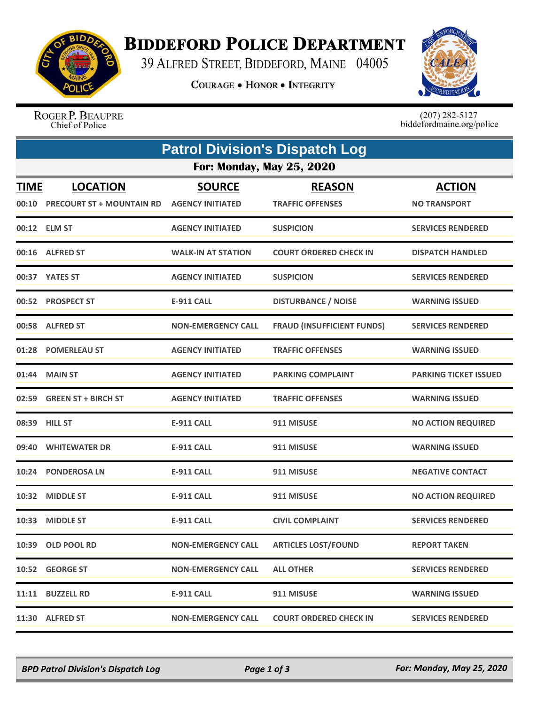

## **BIDDEFORD POLICE DEPARTMENT**

39 ALFRED STREET, BIDDEFORD, MAINE 04005

**COURAGE . HONOR . INTEGRITY** 



ROGER P. BEAUPRE Chief of Police

 $(207)$  282-5127<br>biddefordmaine.org/police

| <b>Patrol Division's Dispatch Log</b> |                                                     |                                          |                                          |                                      |  |  |  |
|---------------------------------------|-----------------------------------------------------|------------------------------------------|------------------------------------------|--------------------------------------|--|--|--|
| <b>For: Monday, May 25, 2020</b>      |                                                     |                                          |                                          |                                      |  |  |  |
| <b>TIME</b><br>00:10                  | <b>LOCATION</b><br><b>PRECOURT ST + MOUNTAIN RD</b> | <b>SOURCE</b><br><b>AGENCY INITIATED</b> | <b>REASON</b><br><b>TRAFFIC OFFENSES</b> | <b>ACTION</b><br><b>NO TRANSPORT</b> |  |  |  |
|                                       | 00:12 ELM ST                                        | <b>AGENCY INITIATED</b>                  | <b>SUSPICION</b>                         | <b>SERVICES RENDERED</b>             |  |  |  |
|                                       | 00:16 ALFRED ST                                     | <b>WALK-IN AT STATION</b>                | <b>COURT ORDERED CHECK IN</b>            | <b>DISPATCH HANDLED</b>              |  |  |  |
|                                       | 00:37 YATES ST                                      | <b>AGENCY INITIATED</b>                  | <b>SUSPICION</b>                         | <b>SERVICES RENDERED</b>             |  |  |  |
| 00:52                                 | <b>PROSPECT ST</b>                                  | <b>E-911 CALL</b>                        | <b>DISTURBANCE / NOISE</b>               | <b>WARNING ISSUED</b>                |  |  |  |
|                                       | 00:58 ALFRED ST                                     | <b>NON-EMERGENCY CALL</b>                | <b>FRAUD (INSUFFICIENT FUNDS)</b>        | <b>SERVICES RENDERED</b>             |  |  |  |
| 01:28                                 | <b>POMERLEAU ST</b>                                 | <b>AGENCY INITIATED</b>                  | <b>TRAFFIC OFFENSES</b>                  | <b>WARNING ISSUED</b>                |  |  |  |
| 01:44                                 | <b>MAIN ST</b>                                      | <b>AGENCY INITIATED</b>                  | <b>PARKING COMPLAINT</b>                 | <b>PARKING TICKET ISSUED</b>         |  |  |  |
| 02:59                                 | <b>GREEN ST + BIRCH ST</b>                          | <b>AGENCY INITIATED</b>                  | <b>TRAFFIC OFFENSES</b>                  | <b>WARNING ISSUED</b>                |  |  |  |
| 08:39                                 | <b>HILL ST</b>                                      | <b>E-911 CALL</b>                        | 911 MISUSE                               | <b>NO ACTION REQUIRED</b>            |  |  |  |
| 09:40                                 | <b>WHITEWATER DR</b>                                | <b>E-911 CALL</b>                        | 911 MISUSE                               | <b>WARNING ISSUED</b>                |  |  |  |
| 10:24                                 | <b>PONDEROSA LN</b>                                 | <b>E-911 CALL</b>                        | 911 MISUSE                               | <b>NEGATIVE CONTACT</b>              |  |  |  |
| 10:32                                 | <b>MIDDLE ST</b>                                    | <b>E-911 CALL</b>                        | 911 MISUSE                               | <b>NO ACTION REQUIRED</b>            |  |  |  |
| 10:33                                 | <b>MIDDLE ST</b>                                    | <b>E-911 CALL</b>                        | <b>CIVIL COMPLAINT</b>                   | <b>SERVICES RENDERED</b>             |  |  |  |
|                                       | 10:39 OLD POOL RD                                   | <b>NON-EMERGENCY CALL</b>                | <b>ARTICLES LOST/FOUND</b>               | <b>REPORT TAKEN</b>                  |  |  |  |
|                                       | 10:52 GEORGE ST                                     | NON-EMERGENCY CALL                       | <b>ALL OTHER</b>                         | <b>SERVICES RENDERED</b>             |  |  |  |
|                                       | 11:11 BUZZELL RD                                    | <b>E-911 CALL</b>                        | 911 MISUSE                               | <b>WARNING ISSUED</b>                |  |  |  |
|                                       | 11:30 ALFRED ST                                     | <b>NON-EMERGENCY CALL</b>                | <b>COURT ORDERED CHECK IN</b>            | <b>SERVICES RENDERED</b>             |  |  |  |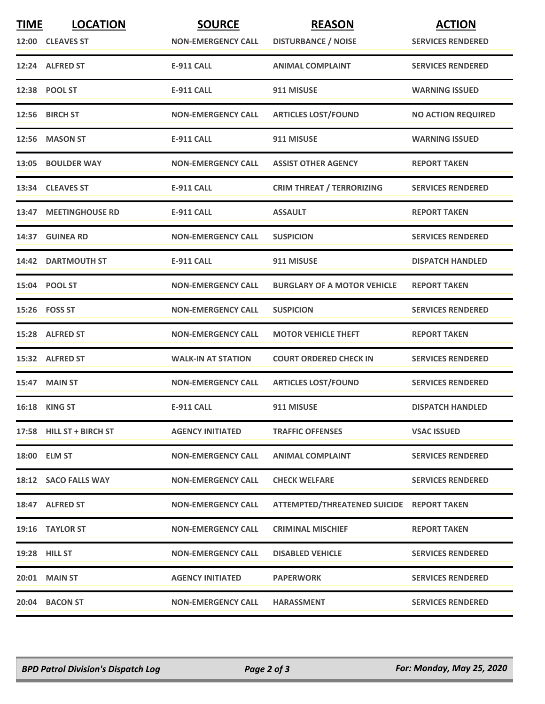| <b>TIME</b> | <b>LOCATION</b><br>12:00 CLEAVES ST | <b>SOURCE</b><br><b>NON-EMERGENCY CALL</b> | <b>REASON</b><br><b>DISTURBANCE / NOISE</b> | <b>ACTION</b><br><b>SERVICES RENDERED</b> |
|-------------|-------------------------------------|--------------------------------------------|---------------------------------------------|-------------------------------------------|
|             | 12:24 ALFRED ST                     | <b>E-911 CALL</b>                          | <b>ANIMAL COMPLAINT</b>                     | <b>SERVICES RENDERED</b>                  |
|             | 12:38 POOL ST                       | <b>E-911 CALL</b>                          | 911 MISUSE                                  | <b>WARNING ISSUED</b>                     |
|             | 12:56 BIRCH ST                      | <b>NON-EMERGENCY CALL</b>                  | <b>ARTICLES LOST/FOUND</b>                  | <b>NO ACTION REQUIRED</b>                 |
|             | 12:56 MASON ST                      | <b>E-911 CALL</b>                          | 911 MISUSE                                  | <b>WARNING ISSUED</b>                     |
|             | 13:05 BOULDER WAY                   | <b>NON-EMERGENCY CALL</b>                  | <b>ASSIST OTHER AGENCY</b>                  | <b>REPORT TAKEN</b>                       |
|             | 13:34 CLEAVES ST                    | <b>E-911 CALL</b>                          | <b>CRIM THREAT / TERRORIZING</b>            | <b>SERVICES RENDERED</b>                  |
| 13:47       | <b>MEETINGHOUSE RD</b>              | <b>E-911 CALL</b>                          | <b>ASSAULT</b>                              | <b>REPORT TAKEN</b>                       |
|             | 14:37 GUINEA RD                     | <b>NON-EMERGENCY CALL</b>                  | <b>SUSPICION</b>                            | <b>SERVICES RENDERED</b>                  |
|             | 14:42 DARTMOUTH ST                  | <b>E-911 CALL</b>                          | 911 MISUSE                                  | <b>DISPATCH HANDLED</b>                   |
|             | 15:04 POOL ST                       | <b>NON-EMERGENCY CALL</b>                  | <b>BURGLARY OF A MOTOR VEHICLE</b>          | <b>REPORT TAKEN</b>                       |
|             | 15:26    FOSS ST                    | <b>NON-EMERGENCY CALL</b>                  | <b>SUSPICION</b>                            | <b>SERVICES RENDERED</b>                  |
|             | 15:28 ALFRED ST                     | <b>NON-EMERGENCY CALL</b>                  | <b>MOTOR VEHICLE THEFT</b>                  | <b>REPORT TAKEN</b>                       |
|             | 15:32 ALFRED ST                     | <b>WALK-IN AT STATION</b>                  | <b>COURT ORDERED CHECK IN</b>               | <b>SERVICES RENDERED</b>                  |
| 15:47       | <b>MAIN ST</b>                      | <b>NON-EMERGENCY CALL</b>                  | <b>ARTICLES LOST/FOUND</b>                  | <b>SERVICES RENDERED</b>                  |
|             | 16:18 KING ST                       | <b>E-911 CALL</b>                          | 911 MISUSE                                  | <b>DISPATCH HANDLED</b>                   |
|             | 17:58 HILL ST + BIRCH ST            | <b>AGENCY INITIATED</b>                    | <b>TRAFFIC OFFENSES</b>                     | <b>VSAC ISSUED</b>                        |
|             | 18:00 ELM ST                        | <b>NON-EMERGENCY CALL</b>                  | <b>ANIMAL COMPLAINT</b>                     | <b>SERVICES RENDERED</b>                  |
|             | 18:12 SACO FALLS WAY                | <b>NON-EMERGENCY CALL</b>                  | <b>CHECK WELFARE</b>                        | <b>SERVICES RENDERED</b>                  |
|             | 18:47 ALFRED ST                     | <b>NON-EMERGENCY CALL</b>                  | ATTEMPTED/THREATENED SUICIDE REPORT TAKEN   |                                           |
|             | 19:16 TAYLOR ST                     | <b>NON-EMERGENCY CALL</b>                  | <b>CRIMINAL MISCHIEF</b>                    | <b>REPORT TAKEN</b>                       |
|             | 19:28 HILL ST                       | <b>NON-EMERGENCY CALL</b>                  | <b>DISABLED VEHICLE</b>                     | <b>SERVICES RENDERED</b>                  |
|             | <b>20:01 MAIN ST</b>                | <b>AGENCY INITIATED</b>                    | <b>PAPERWORK</b>                            | <b>SERVICES RENDERED</b>                  |
|             | 20:04 BACON ST                      | <b>NON-EMERGENCY CALL</b>                  | <b>HARASSMENT</b>                           | <b>SERVICES RENDERED</b>                  |